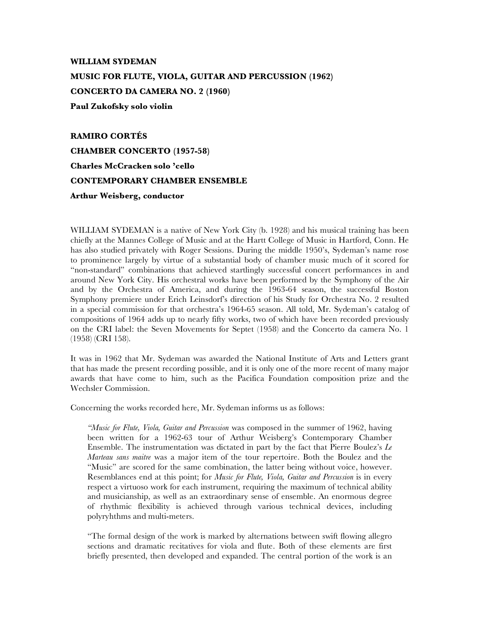## **WILLIAM SYDEMAN MUSIC FOR FLUTE, VIOLA, GUITAR AND PERCUSSION (1962) CONCERTO DA CAMERA NO. 2 (1960) Paul Zukofsky solo violin**

**RAMIRO CORTÉS CHAMBER CONCERTO (1957-58) Charles McCracken solo 'cello CONTEMPORARY CHAMBER ENSEMBLE Arthur Weisberg, conductor**

WILLIAM SYDEMAN is a native of New York City (b. 1928) and his musical training has been chiefly at the Mannes College of Music and at the Hartt College of Music in Hartford, Conn. He has also studied privately with Roger Sessions. During the middle 1950's, Sydeman's name rose to prominence largely by virtue of a substantial body of chamber music much of it scored for "non-standard" combinations that achieved startlingly successful concert performances in and around New York City. His orchestral works have been performed by the Symphony of the Air and by the Orchestra of America, and during the 1963-64 season, the successful Boston Symphony premiere under Erich Leinsdorf's direction of his Study for Orchestra No. 2 resulted in a special commission for that orchestra's 1964-65 season. All told, Mr. Sydeman's catalog of compositions of 1964 adds up to nearly fifty works, two of which have been recorded previously on the CRI label: the Seven Movements for Septet (1958) and the Concerto da camera No. 1 (1958) (CRI 158).

It was in 1962 that Mr. Sydeman was awarded the National Institute of Arts and Letters grant that has made the present recording possible, and it is only one of the more recent of many major awards that have come to him, such as the Pacifica Foundation composition prize and the Wechsler Commission.

Concerning the works recorded here, Mr. Sydeman informs us as follows:

*"Music for Flute, Viola, Guitar and Percussion* was composed in the summer of 1962, having been written for a 1962-63 tour of Arthur Weisberg's Contemporary Chamber Ensemble. The instrumentation was dictated in part by the fact that Pierre Boulez's *Le Marteau sans maitre* was a major item of the tour repertoire. Both the Boulez and the "Music" are scored for the same combination, the latter being without voice, however. Resemblances end at this point; for *Music for Flute, Viola, Guitar and Percussion* is in every respect a virtuoso work for each instrument, requiring the maximum of technical ability and musicianship, as well as an extraordinary sense of ensemble. An enormous degree of rhythmic flexibility is achieved through various technical devices, including polyryhthms and multi-meters.

"The formal design of the work is marked by alternations between swift flowing allegro sections and dramatic recitatives for viola and flute. Both of these elements are first briefly presented, then developed and expanded. The central portion of the work is an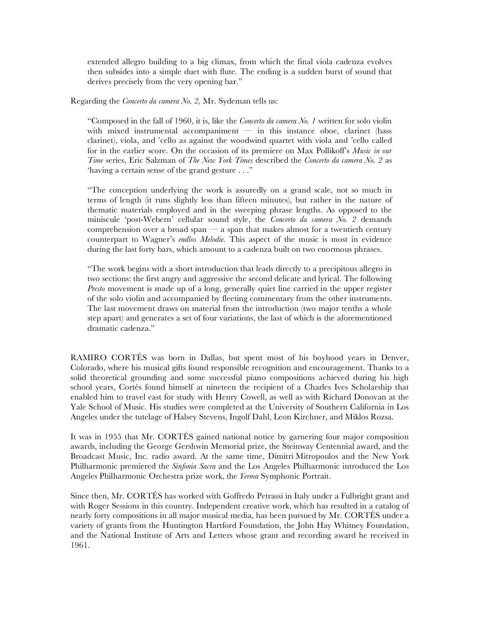extended allegro building to a big climax, from which the final viola cadenza evolves then subsides into a simple duet with flute. The ending is a sudden burst of sound that derives precisely from the very opening bar."

Regarding the *Concerto da camera No. 2,* Mr. Sydeman tells us:

"Composed in the fall of 1960, it is, like the *Concerto da camera No. 1* written for solo violin with mixed instrumental accompaniment  $-$  in this instance oboe, clarinet (bass clarinet), viola, and 'cello as against the woodwind quartet with viola and 'cello called for in the earlier score. On the occasion of its premiere on Max Pollikoff's *Music in our Time* series, Eric Salzman of *The New York Times* described the *Concerto da camera No. 2* as 'having a certain sense of the grand gesture . . ."

"The conception underlying the work is assuredly on a grand scale, not so much in terms of length (it runs slightly less than fifteen minutes), but rather in the nature of thematic materials employed and in the sweeping phrase lengths. As opposed to the miniscule 'post-Webern' cellular sound style, the *Concerto da camera No. 2* demands comprehension over a broad span — a span that makes almost for a twentieth century counterpart to Wagner's *endlos Melodie.* This aspect of the music is most in evidence during the last forty bars, which amount to a cadenza built on two enormous phrases.

"The work begins with a short introduction that leads directly to a precipitous allegro in two sections: the first angry and aggressive the second delicate and lyrical. The following *Presto* movement is made up of a long, generally quiet line carried in the upper register of the solo violin and accompanied by fleeting commentary from the other instruments. The last movement draws on material from the introduction (two major tenths a whole step apart) and generates a set of four variations, the last of which is the aforementioned dramatic cadenza."

RAMIRO CORTÉS was born in Dallas, but spent most of his boyhood years in Denver, Colorado, where his musical gifts found responsible recognition and encouragement. Thanks to a solid theoretical grounding and some successful piano compositions achieved during his high school years, Cortés found himself at nineteen the recipient of a Charles Ives Scholarship that enabled him to travel east for study with Henry Cowell, as well as with Richard Donovan at the Yale School of Music. His studies were completed at the University of Southern California in Los Angeles under the tutelage of Halsey Stevens, Ingolf Dahl, Leon Kirchner, and Miklos Rozsa.

It was in 1955 that Mr. CORTÉS gained national notice by garnering four major composition awards, including the George Gershwin Memorial prize, the Steinway Centennial award, and the Broadcast Music, Inc. radio award. At the same time, Dimitri Mitropoulos and the New York Philharmonic premiered the *Sinfonia Sacra* and the Los Angeles Philharmonic introduced the Los Angeles Philharmonic Orchestra prize work, the *Yerma* Symphonic Portrait.

Since then, Mr. CORTÉS has worked with Goffredo Petrassi in Italy under a Fulbright grant and with Roger Sessions in this country. Independent creative work, which has resulted in a catalog of nearly forty compositions in all major musical media, has been pursued by Mr. CORTÉS under a variety of grants from the Huntington Hartford Foundation, the John Hay Whitney Foundation, and the National Institute of Arts and Letters whose grant and recording award he received in 1961.